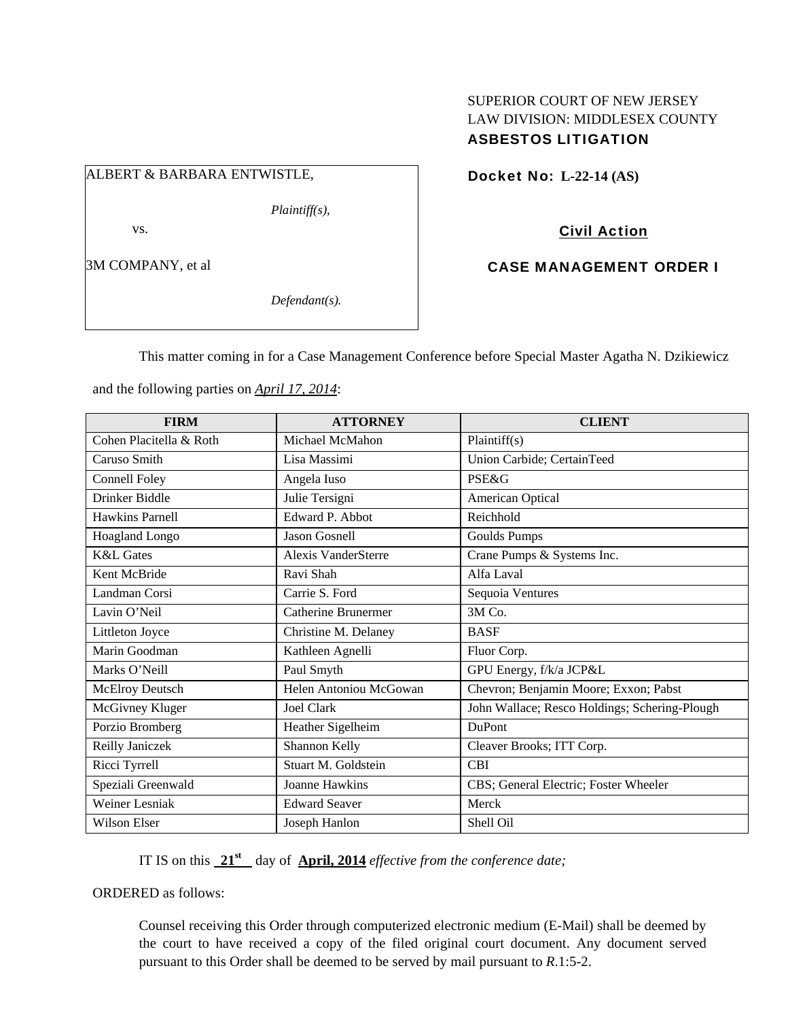## SUPERIOR COURT OF NEW JERSEY LAW DIVISION: MIDDLESEX COUNTY ASBESTOS LITIGATION

## ALBERT & BARBARA ENTWISTLE,

*Plaintiff(s),* 

vs.

3M COMPANY, et al

*Defendant(s).* 

Docket No: **L-22-14 (AS)** 

Civil Action

CASE MANAGEMENT ORDER I

This matter coming in for a Case Management Conference before Special Master Agatha N. Dzikiewicz

and the following parties on *April 17, 2014*:

| <b>FIRM</b>             | <b>ATTORNEY</b>            | <b>CLIENT</b>                                 |
|-------------------------|----------------------------|-----------------------------------------------|
| Cohen Placitella & Roth | Michael McMahon            | Plaintiff(s)                                  |
| Caruso Smith            | Lisa Massimi               | Union Carbide; CertainTeed                    |
| <b>Connell Foley</b>    | Angela Iuso                | <b>PSE&amp;G</b>                              |
| Drinker Biddle          | Julie Tersigni             | American Optical                              |
| Hawkins Parnell         | Edward P. Abbot            | Reichhold                                     |
| Hoagland Longo          | <b>Jason Gosnell</b>       | <b>Goulds Pumps</b>                           |
| <b>K&amp;L</b> Gates    | <b>Alexis VanderSterre</b> | Crane Pumps & Systems Inc.                    |
| Kent McBride            | Ravi Shah                  | Alfa Laval                                    |
| Landman Corsi           | Carrie S. Ford             | Sequoia Ventures                              |
| Lavin O'Neil            | <b>Catherine Brunermer</b> | 3M Co.                                        |
| Littleton Joyce         | Christine M. Delaney       | <b>BASF</b>                                   |
| Marin Goodman           | Kathleen Agnelli           | Fluor Corp.                                   |
| Marks O'Neill           | Paul Smyth                 | GPU Energy, f/k/a JCP&L                       |
| McElroy Deutsch         | Helen Antoniou McGowan     | Chevron; Benjamin Moore; Exxon; Pabst         |
| McGivney Kluger         | Joel Clark                 | John Wallace; Resco Holdings; Schering-Plough |
| Porzio Bromberg         | Heather Sigelheim          | <b>DuPont</b>                                 |
| Reilly Janiczek         | Shannon Kelly              | Cleaver Brooks; ITT Corp.                     |
| Ricci Tyrrell           | Stuart M. Goldstein        | <b>CBI</b>                                    |
| Speziali Greenwald      | <b>Joanne Hawkins</b>      | CBS; General Electric; Foster Wheeler         |
| <b>Weiner Lesniak</b>   | <b>Edward Seaver</b>       | Merck                                         |
| <b>Wilson Elser</b>     | Joseph Hanlon              | Shell Oil                                     |

IT IS on this  $21<sup>st</sup>$  day of **April, 2014** *effective from the conference date;* 

ORDERED as follows:

Counsel receiving this Order through computerized electronic medium (E-Mail) shall be deemed by the court to have received a copy of the filed original court document. Any document served pursuant to this Order shall be deemed to be served by mail pursuant to *R*.1:5-2.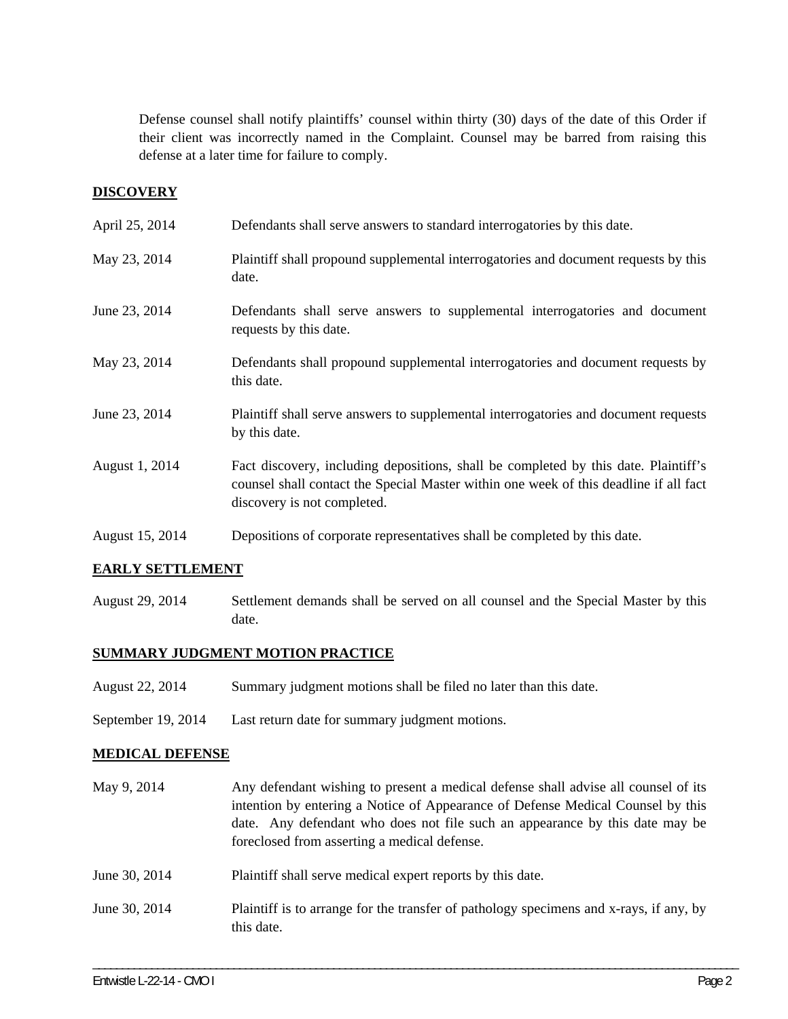Defense counsel shall notify plaintiffs' counsel within thirty (30) days of the date of this Order if their client was incorrectly named in the Complaint. Counsel may be barred from raising this defense at a later time for failure to comply.

### **DISCOVERY**

| April 25, 2014  | Defendants shall serve answers to standard interrogatories by this date.                                                                                                                                    |
|-----------------|-------------------------------------------------------------------------------------------------------------------------------------------------------------------------------------------------------------|
| May 23, 2014    | Plaintiff shall propound supplemental interrogatories and document requests by this<br>date.                                                                                                                |
| June 23, 2014   | Defendants shall serve answers to supplemental interrogatories and document<br>requests by this date.                                                                                                       |
| May 23, 2014    | Defendants shall propound supplemental interrogatories and document requests by<br>this date.                                                                                                               |
| June 23, 2014   | Plaintiff shall serve answers to supplemental interrogatories and document requests<br>by this date.                                                                                                        |
| August 1, 2014  | Fact discovery, including depositions, shall be completed by this date. Plaintiff's<br>counsel shall contact the Special Master within one week of this deadline if all fact<br>discovery is not completed. |
| August 15, 2014 | Depositions of corporate representatives shall be completed by this date.                                                                                                                                   |

### **EARLY SETTLEMENT**

August 29, 2014 Settlement demands shall be served on all counsel and the Special Master by this date.

### **SUMMARY JUDGMENT MOTION PRACTICE**

- August 22, 2014 Summary judgment motions shall be filed no later than this date.
- September 19, 2014 Last return date for summary judgment motions.

#### **MEDICAL DEFENSE**

- May 9, 2014 Any defendant wishing to present a medical defense shall advise all counsel of its intention by entering a Notice of Appearance of Defense Medical Counsel by this date. Any defendant who does not file such an appearance by this date may be foreclosed from asserting a medical defense.
- June 30, 2014 Plaintiff shall serve medical expert reports by this date.
- June 30, 2014 Plaintiff is to arrange for the transfer of pathology specimens and x-rays, if any, by this date.

\_\_\_\_\_\_\_\_\_\_\_\_\_\_\_\_\_\_\_\_\_\_\_\_\_\_\_\_\_\_\_\_\_\_\_\_\_\_\_\_\_\_\_\_\_\_\_\_\_\_\_\_\_\_\_\_\_\_\_\_\_\_\_\_\_\_\_\_\_\_\_\_\_\_\_\_\_\_\_\_\_\_\_\_\_\_\_\_\_\_\_\_\_\_\_\_\_\_\_\_\_\_\_\_\_\_\_\_\_\_